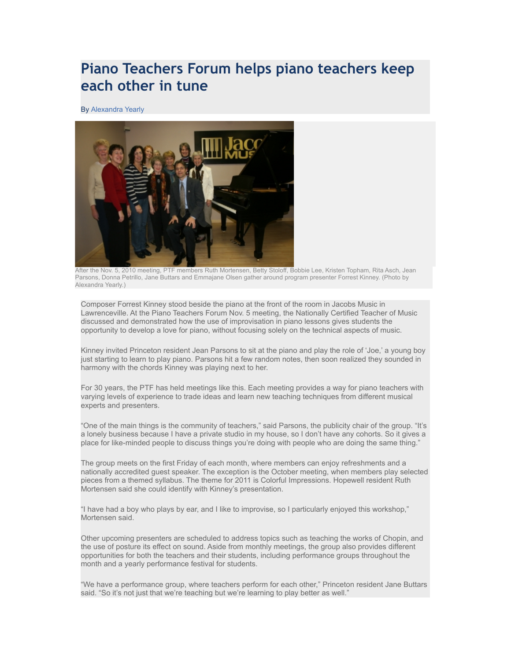## **Piano Teachers Forum helps piano teachers keep each other in tune**

By [Alexandra Yearly](http://www.mercerspace.com/user/5460)



After the Nov. 5, 2010 meeting, PTF members Ruth Mortensen, Betty Stoloff, Bobbie Lee, Kristen Topham, Rita Asch, Jean Parsons, Donna Petrillo, Jane Buttars and Emmajane Olsen gather around program presenter Forrest Kinney. (Photo by Alexandra Yearly.)

Composer Forrest Kinney stood beside the piano at the front of the room in Jacobs Music in Lawrenceville. At the Piano Teachers Forum Nov. 5 meeting, the Nationally Certified Teacher of Music discussed and demonstrated how the use of improvisation in piano lessons gives students the opportunity to develop a love for piano, without focusing solely on the technical aspects of music.

Kinney invited Princeton resident Jean Parsons to sit at the piano and play the role of 'Joe,' a young boy just starting to learn to play piano. Parsons hit a few random notes, then soon realized they sounded in harmony with the chords Kinney was playing next to her.

For 30 years, the PTF has held meetings like this. Each meeting provides a way for piano teachers with varying levels of experience to trade ideas and learn new teaching techniques from different musical experts and presenters.

"One of the main things is the community of teachers," said Parsons, the publicity chair of the group. "It's a lonely business because I have a private studio in my house, so I don't have any cohorts. So it gives a place for like-minded people to discuss things you're doing with people who are doing the same thing."

The group meets on the first Friday of each month, where members can enjoy refreshments and a nationally accredited guest speaker. The exception is the October meeting, when members play selected pieces from a themed syllabus. The theme for 2011 is Colorful Impressions. Hopewell resident Ruth Mortensen said she could identify with Kinney's presentation.

"I have had a boy who plays by ear, and I like to improvise, so I particularly enjoyed this workshop," Mortensen said.

Other upcoming presenters are scheduled to address topics such as teaching the works of Chopin, and the use of posture its effect on sound. Aside from monthly meetings, the group also provides different opportunities for both the teachers and their students, including performance groups throughout the month and a yearly performance festival for students.

"We have a performance group, where teachers perform for each other," Princeton resident Jane Buttars said. "So it's not just that we're teaching but we're learning to play better as well."